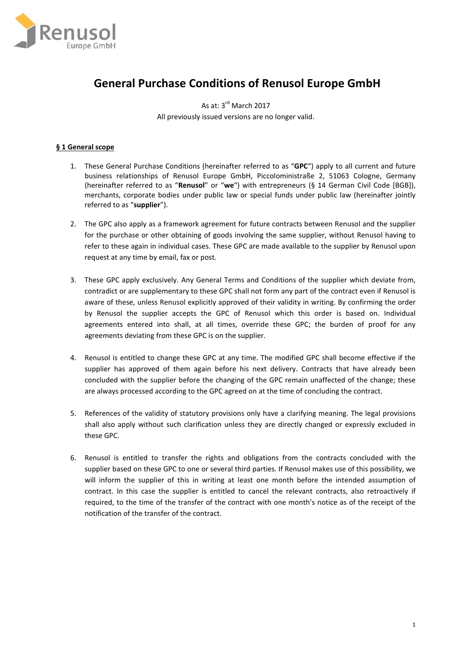

# **General Purchase Conditions of Renusol Europe GmbH**

As at: 3<sup>rd</sup> March 2017 All previously issued versions are no longer valid.

# **§ 1 General scope**

- 1. These General Purchase Conditions (hereinafter referred to as "**GPC**") apply to all current and future business relationships of Renusol Europe GmbH, Piccoloministraße 2, 51063 Cologne, Germany (hereinafter referred to as "**Renusol**" or "**we**") with entrepreneurs (§ 14 German Civil Code [BGB]), merchants, corporate bodies under public law or special funds under public law (hereinafter jointly referred to as "**supplier**").
- 2. The GPC also apply as a framework agreement for future contracts between Renusol and the supplier for the purchase or other obtaining of goods involving the same supplier, without Renusol having to refer to these again in individual cases. These GPC are made available to the supplier by Renusol upon request at any time by email, fax or post.
- 3. These GPC apply exclusively. Any General Terms and Conditions of the supplier which deviate from, contradict or are supplementary to these GPC shall not form any part of the contract even if Renusol is aware of these, unless Renusol explicitly approved of their validity in writing. By confirming the order by Renusol the supplier accepts the GPC of Renusol which this order is based on. Individual agreements entered into shall, at all times, override these GPC; the burden of proof for any agreements deviating from these GPC is on the supplier.
- 4. Renusol is entitled to change these GPC at any time. The modified GPC shall become effective if the supplier has approved of them again before his next delivery. Contracts that have already been concluded with the supplier before the changing of the GPC remain unaffected of the change; these are always processed according to the GPC agreed on at the time of concluding the contract.
- 5. References of the validity of statutory provisions only have a clarifying meaning. The legal provisions shall also apply without such clarification unless they are directly changed or expressly excluded in these GPC.
- 6. Renusol is entitled to transfer the rights and obligations from the contracts concluded with the supplier based on these GPC to one or several third parties. If Renusol makes use of this possibility, we will inform the supplier of this in writing at least one month before the intended assumption of contract. In this case the supplier is entitled to cancel the relevant contracts, also retroactively if required, to the time of the transfer of the contract with one month's notice as of the receipt of the notification of the transfer of the contract.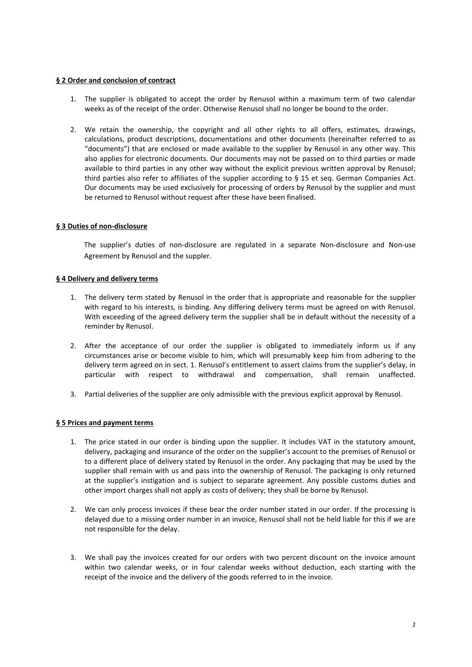# **§ 2 Order and conclusion of contract**

- 1. The supplier is obligated to accept the order by Renusol within a maximum term of two calendar weeks as of the receipt of the order. Otherwise Renusol shall no longer be bound to the order.
- 2. We retain the ownership, the copyright and all other rights to all offers, estimates, drawings, calculations, product descriptions, documentations and other documents (hereinafter referred to as "documents") that are enclosed or made available to the supplier by Renusol in any other way. This also applies for electronic documents. Our documents may not be passed on to third parties or made available to third parties in any other way without the explicit previous written approval by Renusol; third parties also refer to affiliates of the supplier according to § 15 et seq. German Companies Act. Our documents may be used exclusively for processing of orders by Renusol by the supplier and must be returned to Renusol without request after these have been finalised.

# **§ 3 Duties of non-disclosure**

The supplier's duties of non-disclosure are regulated in a separate Non-disclosure and Non-use Agreement by Renusol and the suppler.

#### **§ 4 Delivery and delivery terms**

- 1. The delivery term stated by Renusol in the order that is appropriate and reasonable for the supplier with regard to his interests, is binding. Any differing delivery terms must be agreed on with Renusol. With exceeding of the agreed delivery term the supplier shall be in default without the necessity of a reminder by Renusol.
- 2. After the acceptance of our order the supplier is obligated to immediately inform us if any circumstances arise or become visible to him, which will presumably keep him from adhering to the delivery term agreed on in sect. 1. Renusol's entitlement to assert claims from the supplier's delay, in particular with respect to withdrawal and compensation, shall remain unaffected.
- 3. Partial deliveries of the supplier are only admissible with the previous explicit approval by Renusol.

# **§ 5 Prices and payment terms**

- 1. The price stated in our order is binding upon the supplier. It includes VAT in the statutory amount, delivery, packaging and insurance of the order on the supplier's account to the premises of Renusol or to a different place of delivery stated by Renusol in the order. Any packaging that may be used by the supplier shall remain with us and pass into the ownership of Renusol. The packaging is only returned at the supplier's instigation and is subject to separate agreement. Any possible customs duties and other import charges shall not apply as costs of delivery; they shall be borne by Renusol.
- 2. We can only process invoices if these bear the order number stated in our order. If the processing is delayed due to a missing order number in an invoice, Renusol shall not be held liable for this if we are not responsible for the delay.
- 3. We shall pay the invoices created for our orders with two percent discount on the invoice amount within two calendar weeks, or in four calendar weeks without deduction, each starting with the receipt of the invoice and the delivery of the goods referred to in the invoice.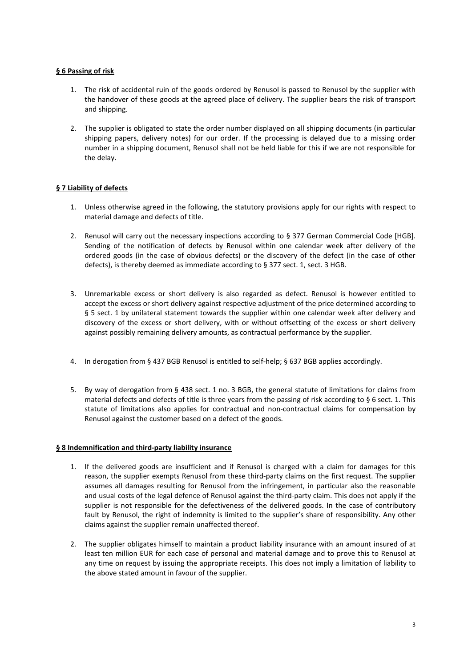# **§ 6 Passing of risk**

- 1. The risk of accidental ruin of the goods ordered by Renusol is passed to Renusol by the supplier with the handover of these goods at the agreed place of delivery. The supplier bears the risk of transport and shipping.
- 2. The supplier is obligated to state the order number displayed on all shipping documents (in particular shipping papers, delivery notes) for our order. If the processing is delayed due to a missing order number in a shipping document, Renusol shall not be held liable for this if we are not responsible for the delay.

# **§ 7 Liability of defects**

- 1. Unless otherwise agreed in the following, the statutory provisions apply for our rights with respect to material damage and defects of title.
- 2. Renusol will carry out the necessary inspections according to § 377 German Commercial Code [HGB]. Sending of the notification of defects by Renusol within one calendar week after delivery of the ordered goods (in the case of obvious defects) or the discovery of the defect (in the case of other defects), is thereby deemed as immediate according to § 377 sect. 1, sect. 3 HGB.
- 3. Unremarkable excess or short delivery is also regarded as defect. Renusol is however entitled to accept the excess or short delivery against respective adjustment of the price determined according to § 5 sect. 1 by unilateral statement towards the supplier within one calendar week after delivery and discovery of the excess or short delivery, with or without offsetting of the excess or short delivery against possibly remaining delivery amounts, as contractual performance by the supplier.
- 4. In derogation from § 437 BGB Renusol is entitled to self-help; § 637 BGB applies accordingly.
- 5. By way of derogation from § 438 sect. 1 no. 3 BGB, the general statute of limitations for claims from material defects and defects of title is three years from the passing of risk according to § 6 sect. 1. This statute of limitations also applies for contractual and non-contractual claims for compensation by Renusol against the customer based on a defect of the goods.

# **§ 8 Indemnification and third-party liability insurance**

- 1. If the delivered goods are insufficient and if Renusol is charged with a claim for damages for this reason, the supplier exempts Renusol from these third-party claims on the first request. The supplier assumes all damages resulting for Renusol from the infringement, in particular also the reasonable and usual costs of the legal defence of Renusol against the third-party claim. This does not apply if the supplier is not responsible for the defectiveness of the delivered goods. In the case of contributory fault by Renusol, the right of indemnity is limited to the supplier's share of responsibility. Any other claims against the supplier remain unaffected thereof.
- 2. The supplier obligates himself to maintain a product liability insurance with an amount insured of at least ten million EUR for each case of personal and material damage and to prove this to Renusol at any time on request by issuing the appropriate receipts. This does not imply a limitation of liability to the above stated amount in favour of the supplier.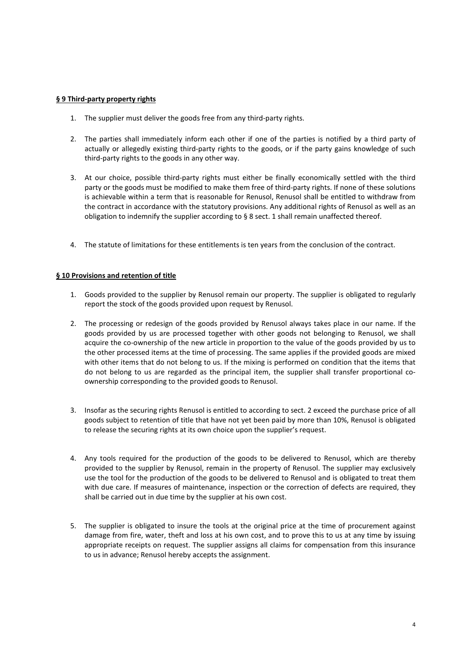# **§ 9 Third-party property rights**

- 1. The supplier must deliver the goods free from any third-party rights.
- 2. The parties shall immediately inform each other if one of the parties is notified by a third party of actually or allegedly existing third-party rights to the goods, or if the party gains knowledge of such third-party rights to the goods in any other way.
- 3. At our choice, possible third-party rights must either be finally economically settled with the third party or the goods must be modified to make them free of third-party rights. If none of these solutions is achievable within a term that is reasonable for Renusol, Renusol shall be entitled to withdraw from the contract in accordance with the statutory provisions. Any additional rights of Renusol as well as an obligation to indemnify the supplier according to § 8 sect. 1 shall remain unaffected thereof.
- 4. The statute of limitations for these entitlements is ten years from the conclusion of the contract.

# **§ 10 Provisions and retention of title**

- 1. Goods provided to the supplier by Renusol remain our property. The supplier is obligated to regularly report the stock of the goods provided upon request by Renusol.
- 2. The processing or redesign of the goods provided by Renusol always takes place in our name. If the goods provided by us are processed together with other goods not belonging to Renusol, we shall acquire the co-ownership of the new article in proportion to the value of the goods provided by us to the other processed items at the time of processing. The same applies if the provided goods are mixed with other items that do not belong to us. If the mixing is performed on condition that the items that do not belong to us are regarded as the principal item, the supplier shall transfer proportional coownership corresponding to the provided goods to Renusol.
- 3. Insofar as the securing rights Renusol is entitled to according to sect. 2 exceed the purchase price of all goods subject to retention of title that have not yet been paid by more than 10%, Renusol is obligated to release the securing rights at its own choice upon the supplier's request.
- 4. Any tools required for the production of the goods to be delivered to Renusol, which are thereby provided to the supplier by Renusol, remain in the property of Renusol. The supplier may exclusively use the tool for the production of the goods to be delivered to Renusol and is obligated to treat them with due care. If measures of maintenance, inspection or the correction of defects are required, they shall be carried out in due time by the supplier at his own cost.
- 5. The supplier is obligated to insure the tools at the original price at the time of procurement against damage from fire, water, theft and loss at his own cost, and to prove this to us at any time by issuing appropriate receipts on request. The supplier assigns all claims for compensation from this insurance to us in advance; Renusol hereby accepts the assignment.